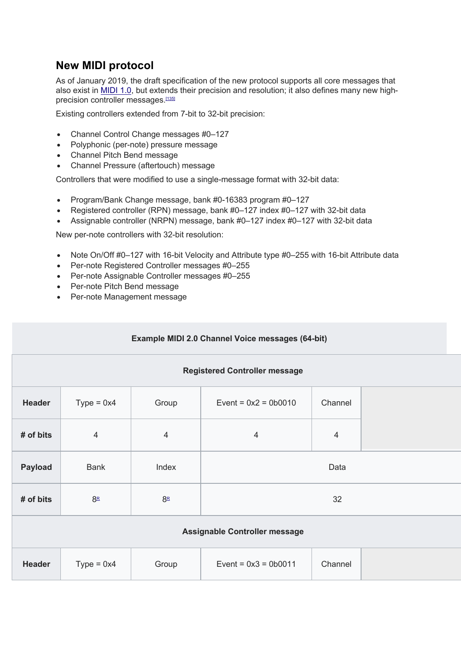## **New MIDI protocol**

As of January 2019, the draft specification of the new protocol supports all core messages that also exist in MIDI 1.0, but extends their precision and resolution; it also defines many new highprecision controller messages.<sup>[135]</sup>

Existing controllers extended from 7-bit to 32-bit precision:

- Channel Control Change messages #0–127
- Polyphonic (per-note) pressure message
- Channel Pitch Bend message
- Channel Pressure (aftertouch) message

Controllers that were modified to use a single-message format with 32-bit data:

- Program/Bank Change message, bank #0-16383 program #0–127
- Registered controller (RPN) message, bank #0–127 index #0–127 with 32-bit data
- Assignable controller (NRPN) message, bank #0–127 index #0–127 with 32-bit data

New per-note controllers with 32-bit resolution:

- Note On/Off #0-127 with 16-bit Velocity and Attribute type #0-255 with 16-bit Attribute data
- Per-note Registered Controller messages #0–255
- Per-note Assignable Controller messages #0–255
- Per-note Pitch Bend message
- Per-note Management message

| Example MIDI 2.0 Channel Voice messages (64-bit) |                |                |                        |                |  |  |  |  |  |  |
|--------------------------------------------------|----------------|----------------|------------------------|----------------|--|--|--|--|--|--|
| <b>Registered Controller message</b>             |                |                |                        |                |  |  |  |  |  |  |
| <b>Header</b>                                    | $Type = 0x4$   | Group          | Event = $0x2 = 0b0010$ | Channel        |  |  |  |  |  |  |
| # of bits                                        | $\overline{4}$ | 4              | $\overline{4}$         | $\overline{4}$ |  |  |  |  |  |  |
| <b>Payload</b>                                   | <b>Bank</b>    | Index          | Data                   |                |  |  |  |  |  |  |
| # of bits                                        | 8 <sup>R</sup> | 8 <sup>R</sup> | 32                     |                |  |  |  |  |  |  |
| <b>Assignable Controller message</b>             |                |                |                        |                |  |  |  |  |  |  |
| <b>Header</b>                                    | $Type = 0x4$   | Group          | Event = $0x3 = 0b0011$ | Channel        |  |  |  |  |  |  |